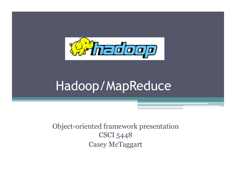

# Hadoop/MapReduce

Object-oriented framework presentation CSCI 5448 Casey McTaggart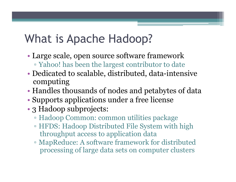# What is Apache Hadoop?

- Large scale, open source software framework ▫ Yahoo! has been the largest contributor to date
- Dedicated to scalable, distributed, data-intensive computing
- Handles thousands of nodes and petabytes of data
- Supports applications under a free license
- 3 Hadoop subprojects:
	- Hadoop Common: common utilities package
	- HFDS: Hadoop Distributed File System with high throughput access to application data
	- MapReduce: A software framework for distributed processing of large data sets on computer clusters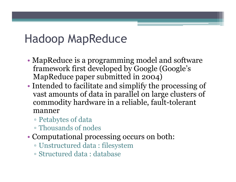### Hadoop MapReduce

- MapReduce is a programming model and software framework first developed by Google (Google's MapReduce paper submitted in 2004)
- Intended to facilitate and simplify the processing of vast amounts of data in parallel on large clusters of commodity hardware in a reliable, fault-tolerant manner
	- Petabytes of data
	- Thousands of nodes
- Computational processing occurs on both:
	- Unstructured data : filesystem
	- Structured data : database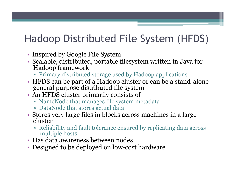#### Hadoop Distributed File System (HFDS)

- Inspired by Google File System
- Scalable, distributed, portable filesystem written in Java for Hadoop framework
	- Primary distributed storage used by Hadoop applications
- HFDS can be part of a Hadoop cluster or can be a stand-alone general purpose distributed file system
- An HFDS cluster primarily consists of
	- NameNode that manages file system metadata
	- DataNode that stores actual data
- Stores very large files in blocks across machines in a large cluster
	- Reliability and fault tolerance ensured by replicating data across multiple hosts
- Has data awareness between nodes
- Designed to be deployed on low-cost hardware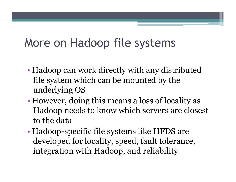# More on Hadoop file systems

- Hadoop can work directly with any distributed file system which can be mounted by the underlying OS
- However, doing this means a loss of locality as Hadoop needs to know which servers are closest to the data
- Hadoop-specific file systems like HFDS are developed for locality, speed, fault tolerance, integration with Hadoop, and reliability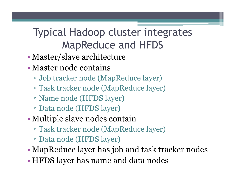#### Typical Hadoop cluster integrates MapReduce and HFDS

- Master/slave architecture
- Master node contains
	- Job tracker node (MapReduce layer)
	- Task tracker node (MapReduce layer)
	- Name node (HFDS layer)
	- Data node (HFDS layer)
- Multiple slave nodes contain
	- Task tracker node (MapReduce layer)
	- Data node (HFDS layer)
- MapReduce layer has job and task tracker nodes
- HFDS layer has name and data nodes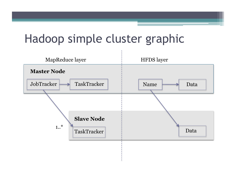#### Hadoop simple cluster graphic

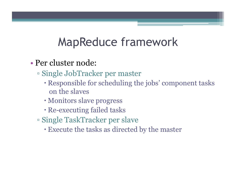#### MapReduce framework

- Per cluster node:
	- Single JobTracker per master
		- Responsible for scheduling the jobs' component tasks on the slaves
		- Monitors slave progress
		- Re-executing failed tasks
	- Single TaskTracker per slave
		- Execute the tasks as directed by the master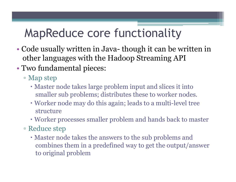# MapReduce core functionality

- Code usually written in Java- though it can be written in other languages with the Hadoop Streaming API
- Two fundamental pieces:
	- Map step
		- Master node takes large problem input and slices it into smaller sub problems; distributes these to worker nodes.
		- Worker node may do this again; leads to a multi-level tree structure
		- Worker processes smaller problem and hands back to master
	- Reduce step
		- Master node takes the answers to the sub problems and combines them in a predefined way to get the output/answer to original problem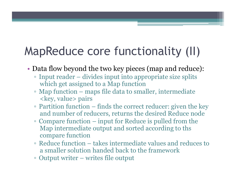# MapReduce core functionality (II)

- Data flow beyond the two key pieces (map and reduce):
	- Input reader divides input into appropriate size splits which get assigned to a Map function
	- Map function maps file data to smaller, intermediate <key, value> pairs
	- Partition function finds the correct reducer: given the key and number of reducers, returns the desired Reduce node
	- Compare function input for Reduce is pulled from the Map intermediate output and sorted according to ths compare function
	- Reduce function takes intermediate values and reduces to a smaller solution handed back to the framework
	- Output writer writes file output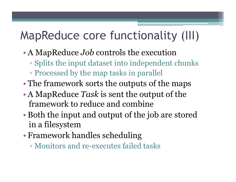# MapReduce core functionality (III)

- A MapReduce *Job* controls the execution
	- Splits the input dataset into independent chunks
	- Processed by the map tasks in parallel
- The framework sorts the outputs of the maps
- A MapReduce *Task* is sent the output of the framework to reduce and combine
- Both the input and output of the job are stored in a filesystem
- Framework handles scheduling
	- Monitors and re-executes failed tasks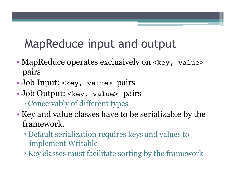## MapReduce input and output

- MapReduce operates exclusively on <key, value> pairs
- Job Input: < key, value> pairs
- Job Output: <key, value> pairs
	- Conceivably of different types
- Key and value classes have to be serializable by the framework.
	- Default serialization requires keys and values to implement Writable
	- Key classes must facilitate sorting by the framework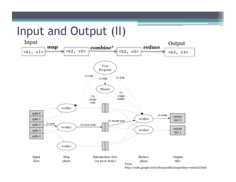### Input and Output (II)

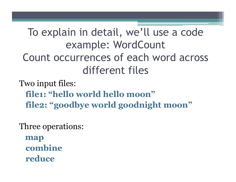#### To explain in detail, we'll use a code example: WordCount Count occurrences of each word across different files

Two input files:  **file1: "hello world hello moon" file2: "goodbye world goodnight moon"** 

Three operations:

 **map combine reduce**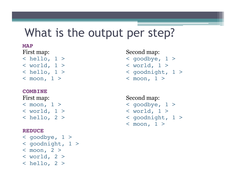#### What is the output per step?

#### **MAP**

- < world, 1 > < world, 1 >
- **COMBINE**

< world, 1 > < world, 1 >

#### **REDUCE**

- $\langle$  qoodbye,  $1 >$ < goodnight, 1 >
- $<sub>mon</sub>, 2 >$ </sub>
- $<$  world, 2  $>$
- $>$  hello, 2  $>$

#### First map: Second map:

- < hello, 1 > < goodbye, 1 >
	-
- < hello, 1 > < goodnight, 1 >
- < moon, 1 > < moon, 1 >

#### First map: Second map:

- < moon, 1 > < goodbye, 1 >
- < hello, 2 > < goodnight, 1 >
	- $<$  moon,  $1$  >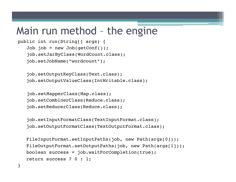#### Main run method – the engine

```
public int run(String[] args) {
   Job job = new Job(getConf());
   job.setJarByClass(WordCount.class);
    job.setJobName("wordcount");
```

```
 job.setOutputKeyClass(Text.class); 
 job.setOutputValueClass(IntWritable.class);
```

```
job.setMapperClass(Map.class);
 job.setCombinerClass(Reduce.class);
 job.setReducerClass(Reduce.class);
```
}

```
 job.setInputFormatClass(TextInputFormat.class); 
 job.setOutputFormatClass(TextOutputFormat.class);
```

```
FileInputFormat.setInputPaths(job, new Path(args[0]));
FileOutputFormat.setOutputPaths(job, new Path(args[1]));
 boolean success = job.waitForCompletion(true); 
 return success ? 0 : 1;
```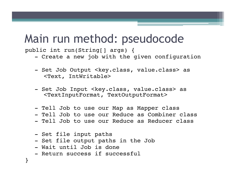#### Main run method: pseudocode

public int run(String[] args) {

- Create a new job with the given configuration
- Set Job Output <key.class, value.class> as <Text, IntWritable>
- Set Job Input <key.class, value.class> as <TextInputFormat, TextOutputFormat>
- Tell Job to use our Map as Mapper class
- Tell Job to use our Reduce as Combiner class
- Tell Job to use our Reduce as Reducer class
- Set file input paths
- Set file output paths in the Job
- Wait until Job is done
- Return success if successful

}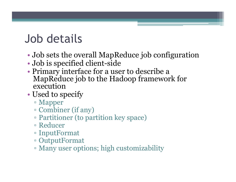# Job details

- Job sets the overall MapReduce job configuration
- Job is specified client-side
- Primary interface for a user to describe a MapReduce job to the Hadoop framework for execution
- Used to specify
	- Mapper
	- Combiner (if any)
	- Partitioner (to partition key space)
	- Reducer
	- InputFormat
	- OutputFormat
	- Many user options; high customizability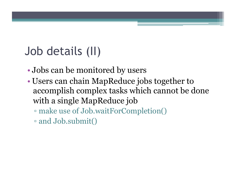# Job details (II)

- Jobs can be monitored by users
- Users can chain MapReduce jobs together to accomplish complex tasks which cannot be done with a single MapReduce job
	- make use of Job.waitForCompletion()
	- and Job.submit()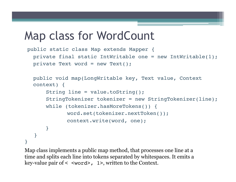#### Map class for WordCount

```
public static class Map extends Mapper {
  private final static IntWritable one = new IntWritable(1);
  private Text word = new Text();
```

```
public void map(LongWritable key, Text value, Context 
  context) {
      String line = value.toString();
      StringTokenizer tokenizer = new StringTokenizer(line);
      while (tokenizer.hasMoreTokens()) {
             word.set(tokenizer.nextToken());
             context.write(word, one);
      }
   }
}
```
Map class implements a public map method, that processes one line at a time and splits each line into tokens separated by whitespaces. It emits a key-value pair of < <word>, 1>, written to the Context.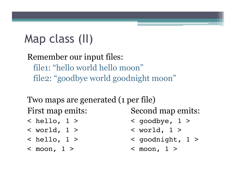# Map class (II)

Remember our input files: file1: "hello world hello moon" file2: "goodbye world goodnight moon"

Two maps are generated (1 per file) First map emits: Second map emits:

- 
- 
- 

 $<$  moon,  $1$  >  $<$  moon,  $1$  >

- < hello, 1 > < goodbye, 1 >
- < world, 1 > < world, 1 >
- < hello, 1 > < goodnight, 1 >
	-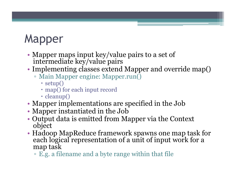# **Mapper**

- Mapper maps input key/value pairs to a set of intermediate key/value pairs
- Implementing classes extend Mapper and override map()
	- Main Mapper engine: Mapper.run()
		- setup()
		- map() for each input record
		- cleanup()
- Mapper implementations are specified in the Job
- Mapper instantiated in the Job
- Output data is emitted from Mapper via the Context object
- Hadoop MapReduce framework spawns one map task for each logical representation of a unit of input work for a map task
	- E.g. a filename and a byte range within that file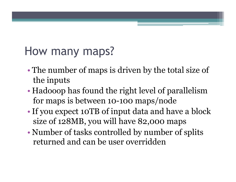# How many maps?

- The number of maps is driven by the total size of the inputs
- Hadooop has found the right level of parallelism for maps is between 10-100 maps/node
- If you expect 10TB of input data and have a block size of 128MB, you will have 82,000 maps
- Number of tasks controlled by number of splits returned and can be user overridden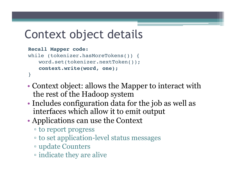# Context object details

```
Recall Mapper code:
while (tokenizer.hasMoreTokens()) {
   word.set(tokenizer.nextToken());
```

```
context.write(word, one);
```
}

- Context object: allows the Mapper to interact with the rest of the Hadoop system
- Includes configuration data for the job as well as interfaces which allow it to emit output
- Applications can use the Context
	- to report progress
	- to set application-level status messages
	- update Counters
	- indicate they are alive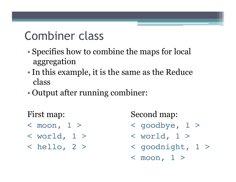### Combiner class

- Specifies how to combine the maps for local aggregation
- •In this example, it is the same as the Reduce class
- Output after running combiner:

- 
- 
- 

First map: Second map:

- < moon, 1 > < goodbye, 1 >
- < world, 1 > < world, 1 >
- < hello, 2 > < goodnight, 1 >
	- $<$  moon,  $1$  >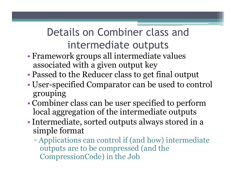#### Details on Combiner class and intermediate outputs

- Framework groups all intermediate values associated with a given output key
- Passed to the Reducer class to get final output
- User-specified Comparator can be used to control grouping
- Combiner class can be user specified to perform local aggregation of the intermediate outputs
- •Intermediate, sorted outputs always stored in a simple format
	- Applications can control if (and how) intermediate outputs are to be compressed (and the CompressionCode) in the Job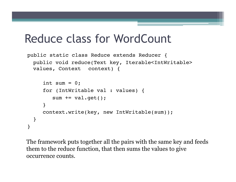#### Reduce class for WordCount

```
public static class Reduce extends Reducer {
 public void reduce(Text key, Iterable<IntWritable> 
 values, Context context) {
```

```
int sum = 0;
      for (IntWritable val : values) {
        sum += val.get();
      }
      context.write(key, new IntWritable(sum));
 }
}
```
The framework puts together all the pairs with the same key and feeds them to the reduce function, that then sums the values to give occurrence counts.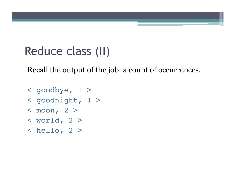# Reduce class (II)

Recall the output of the job: a count of occurrences.

- < goodbye, 1 >
- < goodnight, 1 >
- $<sub>mon</sub>, 2 >$ </sub>
- $<$  world, 2  $>$
- $\langle$  hello, 2 >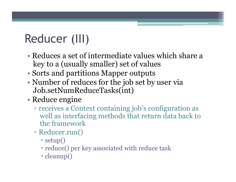# Reducer (III)

- Reduces a set of intermediate values which share a key to a (usually smaller) set of values
- Sorts and partitions Mapper outputs
- Number of reduces for the job set by user via Job.setNumReduceTasks(int)
- Reduce engine
	- receives a Context containing job's configuration as well as interfacing methods that return data back to the framework
	- Reducer.run()
		- setup()
		- reduce() per key associated with reduce task
		- cleanup()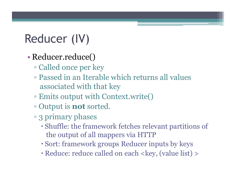# Reducer (IV)

#### • Reducer.reduce()

- Called once per key
- Passed in an Iterable which returns all values associated with that key
- Emits output with Context.write()
- Output is **not** sorted.
- 3 primary phases
	- Shuffle: the framework fetches relevant partitions of the output of all mappers via HTTP
	- Sort: framework groups Reducer inputs by keys
	- Reduce: reduce called on each <key, (value list) >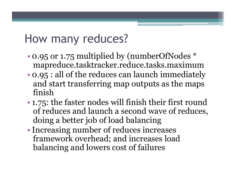#### How many reduces?

- 0.95 or 1.75 multiplied by (numberOfNodes \* mapreduce.tasktracker.reduce.tasks.maximum
- 0.95 : all of the reduces can launch immediately and start transferring map outputs as the maps finish
- 1.75: the faster nodes will finish their first round of reduces and launch a second wave of reduces, doing a better job of load balancing
- •Increasing number of reduces increases framework overhead; and increases load balancing and lowers cost of failures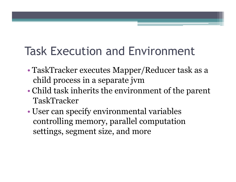# Task Execution and Environment

- TaskTracker executes Mapper/Reducer task as a child process in a separate jvm
- Child task inherits the environment of the parent TaskTracker
- User can specify environmental variables controlling memory, parallel computation settings, segment size, and more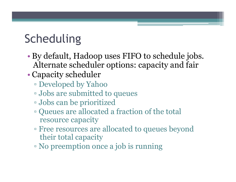# **Scheduling**

- By default, Hadoop uses FIFO to schedule jobs. Alternate scheduler options: capacity and fair
- Capacity scheduler
	- Developed by Yahoo
	- Jobs are submitted to queues
	- Jobs can be prioritized
	- Queues are allocated a fraction of the total resource capacity
	- Free resources are allocated to queues beyond their total capacity
	- No preemption once a job is running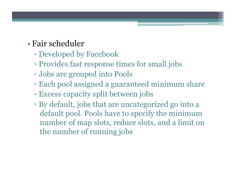#### • Fair scheduler

- Developed by Facebook
- Provides fast response times for small jobs
- Jobs are grouped into Pools
- Each pool assigned a guaranteed minimum share
- Excess capacity split between jobs
- By default, jobs that are uncategorized go into a default pool. Pools have to specify the minimum number of map slots, reduce slots, and a limit on the number of running jobs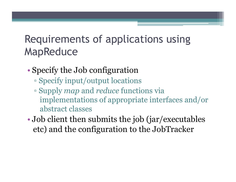#### Requirements of applications using MapReduce

- Specify the Job configuration
	- Specify input/output locations
	- Supply *map* and *reduce* functions via implementations of appropriate interfaces and/or abstract classes
- Job client then submits the job (jar/executables etc) and the configuration to the JobTracker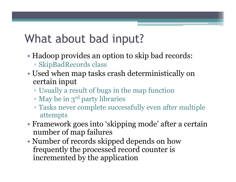# What about bad input?

- Hadoop provides an option to skip bad records: ▫ SkipBadRecords class
- Used when map tasks crash deterministically on certain input
	- Usually a result of bugs in the map function
	- May be in 3rd party libraries
	- Tasks never complete successfully even after multiple attempts
- Framework goes into 'skipping mode' after a certain number of map failures
- Number of records skipped depends on how frequently the processed record counter is incremented by the application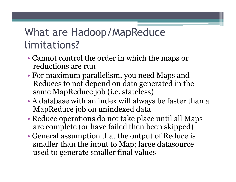#### What are Hadoop/MapReduce limitations?

- Cannot control the order in which the maps or reductions are run
- For maximum parallelism, you need Maps and Reduces to not depend on data generated in the same MapReduce job (i.e. stateless)
- A database with an index will always be faster than a MapReduce job on unindexed data
- Reduce operations do not take place until all Maps are complete (or have failed then been skipped)
- General assumption that the output of Reduce is smaller than the input to Map; large datasource used to generate smaller final values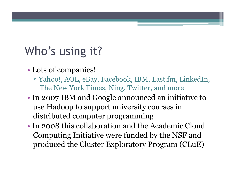# Who's using it?

- Lots of companies!
	- Yahoo!, AOL, eBay, Facebook, IBM, Last.fm, LinkedIn, The New York Times, Ning, Twitter, and more
- In 2007 IBM and Google announced an initiative to use Hadoop to support university courses in distributed computer programming
- In 2008 this collaboration and the Academic Cloud Computing Initiative were funded by the NSF and produced the Cluster Exploratory Program (CLuE)